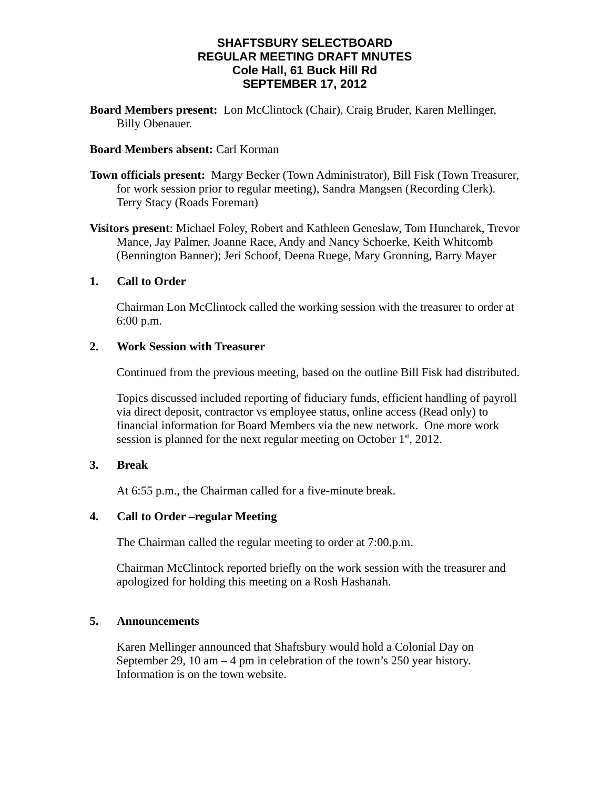## **SHAFTSBURY SELECTBOARD REGULAR MEETING DRAFT MNUTES Cole Hall, 61 Buck Hill Rd SEPTEMBER 17, 2012**

**Board Members present:** Lon McClintock (Chair), Craig Bruder, Karen Mellinger, Billy Obenauer.

### **Board Members absent:** Carl Korman

**Town officials present:** Margy Becker (Town Administrator), Bill Fisk (Town Treasurer, for work session prior to regular meeting), Sandra Mangsen (Recording Clerk). Terry Stacy (Roads Foreman)

**Visitors present**: Michael Foley, Robert and Kathleen Geneslaw, Tom Huncharek, Trevor Mance, Jay Palmer, Joanne Race, Andy and Nancy Schoerke, Keith Whitcomb (Bennington Banner); Jeri Schoof, Deena Ruege, Mary Gronning, Barry Mayer

### **1. Call to Order**

Chairman Lon McClintock called the working session with the treasurer to order at 6:00 p.m.

#### **2. Work Session with Treasurer**

Continued from the previous meeting, based on the outline Bill Fisk had distributed.

Topics discussed included reporting of fiduciary funds, efficient handling of payroll via direct deposit, contractor vs employee status, online access (Read only) to financial information for Board Members via the new network. One more work session is planned for the next regular meeting on October  $1<sup>st</sup>$ , 2012.

### **3. Break**

At 6:55 p.m., the Chairman called for a five-minute break.

## **4. Call to Order –regular Meeting**

The Chairman called the regular meeting to order at 7:00.p.m.

Chairman McClintock reported briefly on the work session with the treasurer and apologized for holding this meeting on a Rosh Hashanah.

### **5. Announcements**

Karen Mellinger announced that Shaftsbury would hold a Colonial Day on September 29, 10 am – 4 pm in celebration of the town's 250 year history. Information is on the town website.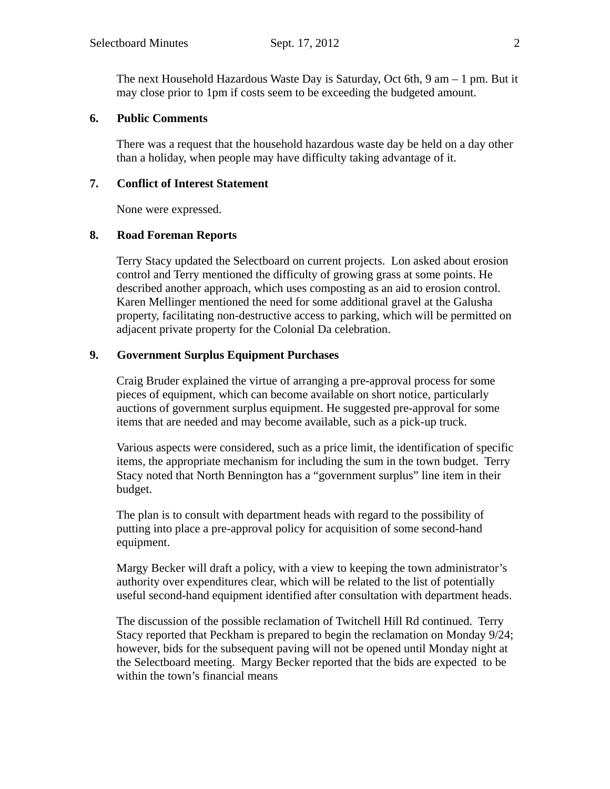The next Household Hazardous Waste Day is Saturday, Oct 6th,  $9 \text{ am} - 1 \text{ pm}$ . But it may close prior to 1pm if costs seem to be exceeding the budgeted amount.

### **6. Public Comments**

There was a request that the household hazardous waste day be held on a day other than a holiday, when people may have difficulty taking advantage of it.

### **7. Conflict of Interest Statement**

None were expressed.

### **8. Road Foreman Reports**

Terry Stacy updated the Selectboard on current projects. Lon asked about erosion control and Terry mentioned the difficulty of growing grass at some points. He described another approach, which uses composting as an aid to erosion control. Karen Mellinger mentioned the need for some additional gravel at the Galusha property, facilitating non-destructive access to parking, which will be permitted on adjacent private property for the Colonial Da celebration.

### **9. Government Surplus Equipment Purchases**

Craig Bruder explained the virtue of arranging a pre-approval process for some pieces of equipment, which can become available on short notice, particularly auctions of government surplus equipment. He suggested pre-approval for some items that are needed and may become available, such as a pick-up truck.

Various aspects were considered, such as a price limit, the identification of specific items, the appropriate mechanism for including the sum in the town budget. Terry Stacy noted that North Bennington has a "government surplus" line item in their budget.

The plan is to consult with department heads with regard to the possibility of putting into place a pre-approval policy for acquisition of some second-hand equipment.

Margy Becker will draft a policy, with a view to keeping the town administrator's authority over expenditures clear, which will be related to the list of potentially useful second-hand equipment identified after consultation with department heads.

The discussion of the possible reclamation of Twitchell Hill Rd continued. Terry Stacy reported that Peckham is prepared to begin the reclamation on Monday 9/24; however, bids for the subsequent paving will not be opened until Monday night at the Selectboard meeting. Margy Becker reported that the bids are expected to be within the town's financial means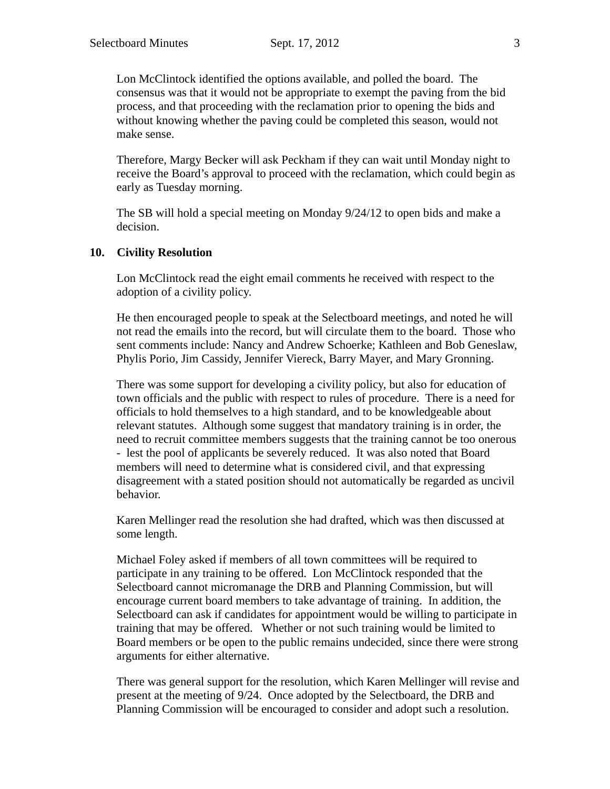Lon McClintock identified the options available, and polled the board. The consensus was that it would not be appropriate to exempt the paving from the bid process, and that proceeding with the reclamation prior to opening the bids and without knowing whether the paving could be completed this season, would not make sense.

Therefore, Margy Becker will ask Peckham if they can wait until Monday night to receive the Board's approval to proceed with the reclamation, which could begin as early as Tuesday morning.

The SB will hold a special meeting on Monday 9/24/12 to open bids and make a decision.

#### **10. Civility Resolution**

Lon McClintock read the eight email comments he received with respect to the adoption of a civility policy.

He then encouraged people to speak at the Selectboard meetings, and noted he will not read the emails into the record, but will circulate them to the board. Those who sent comments include: Nancy and Andrew Schoerke; Kathleen and Bob Geneslaw, Phylis Porio, Jim Cassidy, Jennifer Viereck, Barry Mayer, and Mary Gronning.

There was some support for developing a civility policy, but also for education of town officials and the public with respect to rules of procedure. There is a need for officials to hold themselves to a high standard, and to be knowledgeable about relevant statutes. Although some suggest that mandatory training is in order, the need to recruit committee members suggests that the training cannot be too onerous - lest the pool of applicants be severely reduced. It was also noted that Board members will need to determine what is considered civil, and that expressing disagreement with a stated position should not automatically be regarded as uncivil behavior.

Karen Mellinger read the resolution she had drafted, which was then discussed at some length.

Michael Foley asked if members of all town committees will be required to participate in any training to be offered. Lon McClintock responded that the Selectboard cannot micromanage the DRB and Planning Commission, but will encourage current board members to take advantage of training. In addition, the Selectboard can ask if candidates for appointment would be willing to participate in training that may be offered. Whether or not such training would be limited to Board members or be open to the public remains undecided, since there were strong arguments for either alternative.

There was general support for the resolution, which Karen Mellinger will revise and present at the meeting of 9/24. Once adopted by the Selectboard, the DRB and Planning Commission will be encouraged to consider and adopt such a resolution.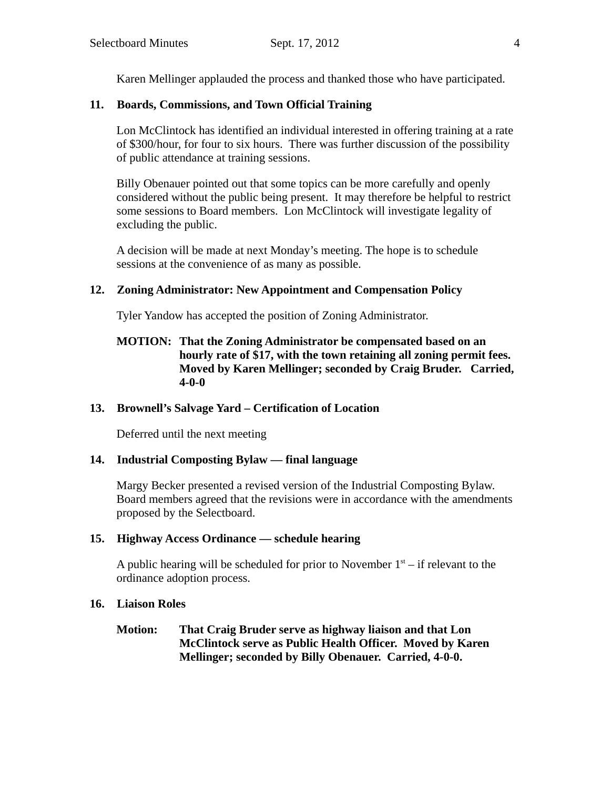Karen Mellinger applauded the process and thanked those who have participated.

# **11. Boards, Commissions, and Town Official Training**

Lon McClintock has identified an individual interested in offering training at a rate of \$300/hour, for four to six hours. There was further discussion of the possibility of public attendance at training sessions.

Billy Obenauer pointed out that some topics can be more carefully and openly considered without the public being present. It may therefore be helpful to restrict some sessions to Board members. Lon McClintock will investigate legality of excluding the public.

A decision will be made at next Monday's meeting. The hope is to schedule sessions at the convenience of as many as possible.

# **12. Zoning Administrator: New Appointment and Compensation Policy**

Tyler Yandow has accepted the position of Zoning Administrator.

## **MOTION: That the Zoning Administrator be compensated based on an hourly rate of \$17, with the town retaining all zoning permit fees. Moved by Karen Mellinger; seconded by Craig Bruder. Carried, 4-0-0**

## **13. Brownell's Salvage Yard – Certification of Location**

Deferred until the next meeting

## **14. Industrial Composting Bylaw — final language**

Margy Becker presented a revised version of the Industrial Composting Bylaw. Board members agreed that the revisions were in accordance with the amendments proposed by the Selectboard.

## **15. Highway Access Ordinance — schedule hearing**

A public hearing will be scheduled for prior to November  $1<sup>st</sup>$  – if relevant to the ordinance adoption process.

## **16. Liaison Roles**

**Motion: That Craig Bruder serve as highway liaison and that Lon McClintock serve as Public Health Officer. Moved by Karen Mellinger; seconded by Billy Obenauer. Carried, 4-0-0.**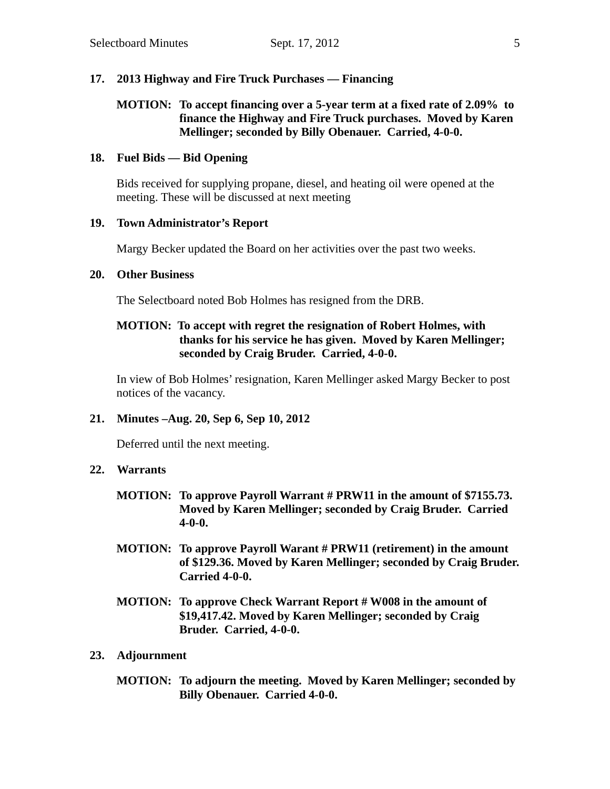### **17. 2013 Highway and Fire Truck Purchases — Financing**

## **MOTION: To accept financing over a 5-year term at a fixed rate of 2.09% to finance the Highway and Fire Truck purchases. Moved by Karen Mellinger; seconded by Billy Obenauer. Carried, 4-0-0.**

### **18. Fuel Bids — Bid Opening**

Bids received for supplying propane, diesel, and heating oil were opened at the meeting. These will be discussed at next meeting

#### **19. Town Administrator's Report**

Margy Becker updated the Board on her activities over the past two weeks.

#### **20. Other Business**

The Selectboard noted Bob Holmes has resigned from the DRB.

## **MOTION: To accept with regret the resignation of Robert Holmes, with thanks for his service he has given. Moved by Karen Mellinger; seconded by Craig Bruder. Carried, 4-0-0.**

In view of Bob Holmes' resignation, Karen Mellinger asked Margy Becker to post notices of the vacancy.

### **21. Minutes –Aug. 20, Sep 6, Sep 10, 2012**

Deferred until the next meeting.

### **22. Warrants**

- **MOTION: To approve Payroll Warrant # PRW11 in the amount of \$7155.73. Moved by Karen Mellinger; seconded by Craig Bruder. Carried 4-0-0.**
- **MOTION: To approve Payroll Warant # PRW11 (retirement) in the amount of \$129.36. Moved by Karen Mellinger; seconded by Craig Bruder. Carried 4-0-0.**
- **MOTION: To approve Check Warrant Report # W008 in the amount of \$19,417.42. Moved by Karen Mellinger; seconded by Craig Bruder. Carried, 4-0-0.**

### **23. Adjournment**

**MOTION: To adjourn the meeting. Moved by Karen Mellinger; seconded by Billy Obenauer. Carried 4-0-0.**